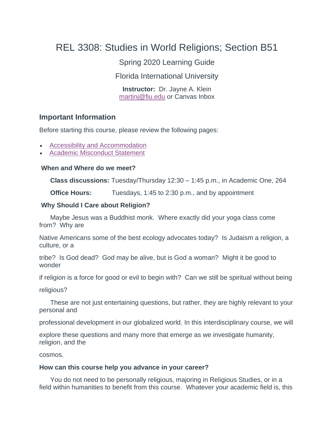# REL 3308: Studies in World Religions; Section B51

Spring 2020 Learning Guide

Florida International University

**Instructor:** Dr. Jayne A. Klein [martinj@fiu.edu](mailto:martinj@fiu.edu) or Canvas Inbo[x](mailto:professor@fiu.edu)

#### **Important Information**

Before starting this course, please review the following pages:

- [Accessibility and Accommodation](https://fiu.instructure.com/courses/62008/pages/accessibility-and-accommodation)
- [Academic Misconduct Statement](https://fiu.instructure.com/courses/62008/pages/academic-misconduct-statement)

#### **When and Where do we meet?**

**Class discussions:** Tuesday/Thursday 12:30 – 1:45 p.m., in Academic One, 264

**Office Hours:** Tuesdays, 1:45 to 2:30 p.m., and by appointment

#### **Why Should I Care about Religion?**

Maybe Jesus was a Buddhist monk. Where exactly did your yoga class come from? Why are

Native Americans some of the best ecology advocates today? Is Judaism a religion, a culture, or a

tribe? Is God dead? God may be alive, but is God a woman? Might it be good to wonder

if religion is a force for good or evil to begin with? Can we still be spiritual without being

religious?

These are not just entertaining questions, but rather, they are highly relevant to your personal and

professional development in our globalized world. In this interdisciplinary course, we will

explore these questions and many more that emerge as we investigate humanity, religion, and the

cosmos.

#### **How can this course help you advance in your career?**

You do not need to be personally religious, majoring in Religious Studies, or in a field within humanities to benefit from this course. Whatever your academic field is, this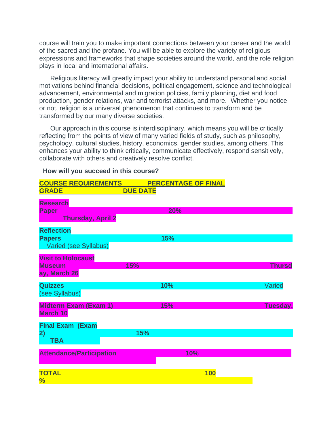course will train you to make important connections between your career and the world of the sacred and the profane. You will be able to explore the variety of religious expressions and frameworks that shape societies around the world, and the role religion plays in local and international affairs.

Religious literacy will greatly impact your ability to understand personal and social motivations behind financial decisions, political engagement, science and technological advancement, environmental and migration policies, family planning, diet and food production, gender relations, war and terrorist attacks, and more. Whether you notice or not, religion is a universal phenomenon that continues to transform and be transformed by our many diverse societies.

Our approach in this course is interdisciplinary, which means you will be critically reflecting from the points of view of many varied fields of study, such as philosophy, psychology, cultural studies, history, economics, gender studies, among others. This enhances your ability to think critically, communicate effectively, respond sensitively, collaborate with others and creatively resolve conflict.

#### **How will you succeed in this course?**

| <b>COURSE REQUIREMENTS</b>      |                 | <b>PERCENTAGE OF FINAL</b> |            |               |
|---------------------------------|-----------------|----------------------------|------------|---------------|
| <b>GRADE</b>                    | <b>DUE DATE</b> |                            |            |               |
| <b>Research</b>                 |                 |                            |            |               |
| <b>Paper</b>                    |                 | 20%                        |            |               |
| <b>Thursday, April 2</b>        |                 |                            |            |               |
| <b>Reflection</b>               |                 |                            |            |               |
| <b>Papers</b>                   |                 | 15%                        |            |               |
| Varied (see Syllabus)           |                 |                            |            |               |
| <b>Visit to Holocaust</b>       |                 |                            |            |               |
| <b>Museum</b>                   | 15%             |                            |            | <b>Thursd</b> |
| ay, March 26                    |                 |                            |            |               |
| <b>Quizzes</b>                  |                 | 10%                        |            | Varied        |
| (see Syllabus)                  |                 |                            |            |               |
|                                 |                 |                            |            |               |
| <b>Midterm Exam (Exam 1)</b>    |                 | <b>15%</b>                 |            | Tuesday,      |
| <b>March 10</b>                 |                 |                            |            |               |
| <b>Final Exam (Exam</b>         |                 |                            |            |               |
| 2)                              | 15%             |                            |            |               |
| <b>TBA</b>                      |                 |                            |            |               |
|                                 |                 |                            |            |               |
| <b>Attendance/Participation</b> |                 | <b>10%</b>                 |            |               |
|                                 |                 |                            |            |               |
| <b>TOTAL</b>                    |                 |                            | <b>100</b> |               |
| $\frac{1}{2}$                   |                 |                            |            |               |
|                                 |                 |                            |            |               |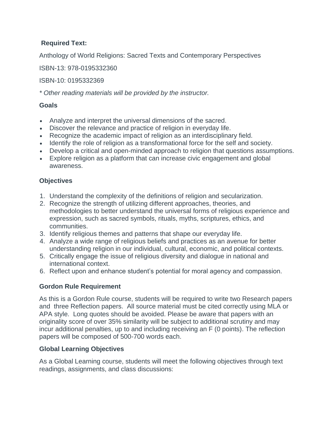## **Required Text:**

Anthology of World Religions: Sacred Texts and Contemporary Perspectives

ISBN-13: 978-0195332360

ISBN-10: 0195332369

*\* Other reading materials will be provided by the instructor.*

## **Goals**

- Analyze and interpret the universal dimensions of the sacred.
- Discover the relevance and practice of religion in everyday life.
- Recognize the academic impact of religion as an interdisciplinary field.
- Identify the role of religion as a transformational force for the self and society.
- Develop a critical and open-minded approach to religion that questions assumptions.
- Explore religion as a platform that can increase civic engagement and global awareness.

## **Objectives**

- 1. Understand the complexity of the definitions of religion and secularization.
- 2. Recognize the strength of utilizing different approaches, theories, and methodologies to better understand the universal forms of religious experience and expression, such as sacred symbols, rituals, myths, scriptures, ethics, and communities.
- 3. Identify religious themes and patterns that shape our everyday life.
- 4. Analyze a wide range of religious beliefs and practices as an avenue for better understanding religion in our individual, cultural, economic, and political contexts.
- 5. Critically engage the issue of religious diversity and dialogue in national and international context.
- 6. Reflect upon and enhance student's potential for moral agency and compassion.

## **Gordon Rule Requirement**

As this is a Gordon Rule course, students will be required to write two Research papers and three Reflection papers. All source material must be cited correctly using MLA or APA style. Long quotes should be avoided. Please be aware that papers with an originality score of over 35% similarity will be subject to additional scrutiny and may incur additional penalties, up to and including receiving an F (0 points). The reflection papers will be composed of 500-700 words each.

## **Global Learning Objectives**

As a Global Learning course, students will meet the following objectives through text readings, assignments, and class discussions: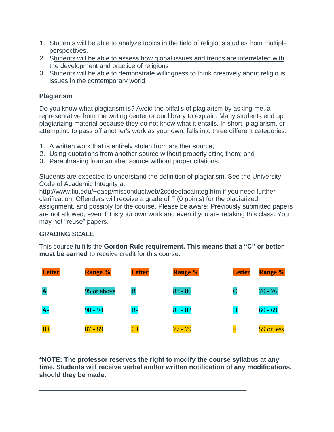- 1. Students will be able to analyze topics in the field of religious studies from multiple perspectives.
- 2. Students will be able to assess how global issues and trends are interrelated with the development and practice of religions
- 3. Students will be able to demonstrate willingness to think creatively about religious issues in the contemporary world.

# **Plagiarism**

Do you know what plagiarism is? Avoid the pitfalls of plagiarism by asking me, a representative from the writing center or our library to explain. Many students end up plagiarizing material because they do not know what it entails. In short, plagiarism, or attempting to pass off another's work as your own, falls into three different categories:

- 1. A written work that is entirely stolen from another source;
- 2. Using quotations from another source without properly citing them; and
- 3. Paraphrasing from another source without proper citations.

Students are expected to understand the definition of plagiarism. See the University Code of Academic Integrity at

http://www.fiu.edu/~oabp/misconductweb/2codeofacainteg.htm if you need further clarification. Offenders will receive a grade of F (0 points) for the plagiarized assignment, and possibly for the course. Please be aware: Previously submitted papers are not allowed, even if it is your own work and even if you are retaking this class. You may not "reuse" papers.

# **GRADING SCALE**

This course fulfills the **Gordon Rule requirement. This means that a "C" or better must be earned** to receive credit for this course.



**\*NOTE: The professor reserves the right to modify the course syllabus at any time. Students will receive verbal and/or written notification of any modifications, should they be made.**

\_\_\_\_\_\_\_\_\_\_\_\_\_\_\_\_\_\_\_\_\_\_\_\_\_\_\_\_\_\_\_\_\_\_\_\_\_\_\_\_\_\_\_\_\_\_\_\_\_\_\_\_\_\_\_\_\_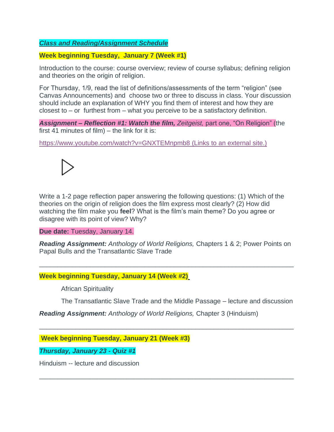## *Class and Reading/Assignment Schedule*

#### **Week beginning Tuesday, January 7 (Week #1)**

Introduction to the course: course overview; review of course syllabus; defining religion and theories on the origin of religion.

For Thursday, 1/9, read the list of definitions/assessments of the term "religion" (see Canvas Announcements) and choose two or three to discuss in class. Your discussion should include an explanation of WHY you find them of interest and how they are closest to – or furthest from – what you perceive to be a satisfactory definition.

*Assignment – Reflection #1: Watch the film, Zeitgeist,* part one, "On Religion" (the first 41 minutes of film) – the link for it is:

<https://www.youtube.com/watch?v=GNXTEMnpmb8> (Links to an external site.)



Write a 1-2 page reflection paper answering the following questions: (1) Which of the theories on the origin of religion does the film express most clearly? (2) How did watching the film make you **feel**? What is the film's main theme? Do you agree or disagree with its point of view? Why?

**Due date:** Tuesday, January 14.

*Reading Assignment: Anthology of World Religions,* Chapters 1 & 2; Power Points on Papal Bulls and the Transatlantic Slave Trade

\_\_\_\_\_\_\_\_\_\_\_\_\_\_\_\_\_\_\_\_\_\_\_\_\_\_\_\_\_\_\_\_\_\_\_\_\_\_\_\_\_\_\_\_\_\_\_\_\_\_\_\_\_\_\_\_\_\_\_\_\_\_\_\_\_\_\_\_\_\_

\_\_\_\_\_\_\_\_\_\_\_\_\_\_\_\_\_\_\_\_\_\_\_\_\_\_\_\_\_\_\_\_\_\_\_\_\_\_\_\_\_\_\_\_\_\_\_\_\_\_\_\_\_\_\_\_\_\_\_\_\_\_\_\_\_\_\_\_\_\_

\_\_\_\_\_\_\_\_\_\_\_\_\_\_\_\_\_\_\_\_\_\_\_\_\_\_\_\_\_\_\_\_\_\_\_\_\_\_\_\_\_\_\_\_\_\_\_\_\_\_\_\_\_\_\_\_\_\_\_\_\_\_\_\_\_\_\_\_\_\_

#### **Week beginning Tuesday, January 14 (Week #2)**

African Spirituality

The Transatlantic Slave Trade and the Middle Passage – lecture and discussion

*Reading Assignment: Anthology of World Religions,* Chapter 3 (Hinduism)

**Week beginning Tuesday, January 21 (Week #3)**

*Thursday, January 23 - Quiz #1*

Hinduism -- lecture and discussion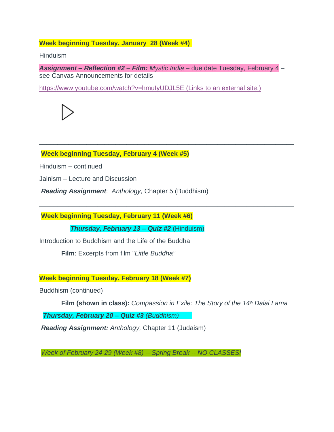## **Week beginning Tuesday, January 28 (Week #4)**

Hinduism

*Assignment – Reflection #2* – *Film: Mystic India* – due date Tuesday, February 4 – see Canvas Announcements for details

\_\_\_\_\_\_\_\_\_\_\_\_\_\_\_\_\_\_\_\_\_\_\_\_\_\_\_\_\_\_\_\_\_\_\_\_\_\_\_\_\_\_\_\_\_\_\_\_\_\_\_\_\_\_\_\_\_\_\_\_\_\_\_\_\_\_\_\_\_\_

\_\_\_\_\_\_\_\_\_\_\_\_\_\_\_\_\_\_\_\_\_\_\_\_\_\_\_\_\_\_\_\_\_\_\_\_\_\_\_\_\_\_\_\_\_\_\_\_\_\_\_\_\_\_\_\_\_\_\_\_\_\_\_\_\_\_\_\_\_\_

\_\_\_\_\_\_\_\_\_\_\_\_\_\_\_\_\_\_\_\_\_\_\_\_\_\_\_\_\_\_\_\_\_\_\_\_\_\_\_\_\_\_\_\_\_\_\_\_\_\_\_\_\_\_\_\_\_\_\_\_\_\_\_\_\_\_\_\_\_\_

<https://www.youtube.com/watch?v=hmuIyUDJL5E> (Links to an external site.)



**Week beginning Tuesday, February 4 (Week #5)**

Hinduism – continued

Jainism – Lecture and Discussion

*Reading Assignment*: *Anthology,* Chapter 5 (Buddhism)

**Week beginning Tuesday, February 11 (Week #6)**

*Thursday, February 13 – Quiz #2* (Hinduism)

Introduction to Buddhism and the Life of the Buddha

**Film**: Excerpts from film "*Little Buddha"*

**Week beginning Tuesday, February 18 (Week #7)**

Buddhism (continued)

**Film (shown in class):** *Compassion in Exile: The Story of the 14th Dalai Lama*

*\_\_\_\_\_\_\_\_\_\_\_\_\_\_\_\_\_\_\_\_\_\_\_\_\_\_\_\_\_\_\_\_\_\_\_\_\_\_\_\_\_\_\_\_\_\_\_\_\_\_\_\_\_\_\_\_\_\_\_\_\_\_\_\_\_\_\_\_\_\_*

*\_\_\_\_\_\_\_\_\_\_\_\_\_\_\_\_\_\_\_\_\_\_\_\_\_\_\_\_\_\_\_\_\_\_\_\_\_\_\_\_\_\_\_\_\_\_\_\_\_\_\_\_\_\_\_\_\_\_\_\_\_\_\_\_\_\_\_\_\_\_*

 *Thursday, February 20 – Quiz #3 (Buddhism)* 

*Reading Assignment: Anthology,* Chapter 11 (Judaism)

*Week of February 24-29 (Week #8) -- Spring Break -- NO CLASSES!*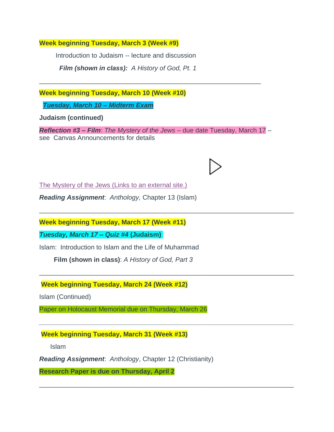**Week beginning Tuesday, March 3 (Week #9)**

Introduction to Judaism -- lecture and discussion

*Film (shown in class): A History of God, Pt. 1*

**Week beginning Tuesday, March 10 (Week #10)**

*Tuesday, March 10 – Midterm Exam*

**Judaism (continued)**

*Reflection #3 – Film*: *The Mystery of the Jews* – due date Tuesday, March 17 – see Canvas Announcements for details

\_\_\_\_\_\_\_\_\_\_\_\_\_\_\_\_\_\_\_\_\_\_\_\_\_\_\_\_\_\_\_\_\_\_\_\_\_\_\_\_\_\_\_\_\_\_\_\_\_\_\_\_\_\_\_\_\_\_\_\_\_\_\_\_\_\_\_\_\_\_

\_\_\_\_\_\_\_\_\_\_\_\_\_\_\_\_\_\_\_\_\_\_\_\_\_\_\_\_\_\_\_\_\_\_\_\_\_\_\_\_\_\_\_\_\_\_\_\_\_\_\_\_\_\_\_\_\_\_\_\_\_\_\_\_\_\_\_\_\_\_

*\_\_\_\_\_\_\_\_\_\_\_\_\_\_\_\_\_\_\_\_\_\_\_\_\_\_\_\_\_\_\_\_\_\_\_\_\_\_\_\_\_\_\_\_\_\_\_\_\_\_\_\_\_\_\_\_\_\_\_\_\_\_\_\_\_\_\_\_\_\_*

\_\_\_\_\_\_\_\_\_\_\_\_\_\_\_\_\_\_\_\_\_\_\_\_\_\_\_\_\_\_\_\_\_\_\_\_\_\_\_\_\_\_\_\_\_\_\_\_\_\_\_\_\_\_\_\_\_\_\_\_\_\_\_\_\_\_\_\_\_\_

\_\_\_\_\_\_\_\_\_\_\_\_\_\_\_\_\_\_\_\_\_\_\_\_\_\_\_\_\_\_\_\_\_\_\_\_\_\_\_\_\_\_\_\_\_\_\_\_\_\_\_\_\_\_\_\_\_\_\_\_\_



*Reading Assignment*: *Anthology,* Chapter 13 (Islam)

**Week beginning Tuesday, March 17 (Week #11)**

*Tuesday, March 17* **–** *Quiz #4* **(Judaism)**

Islam: Introduction to Islam and the Life of Muhammad

**Film (shown in class)**: *A History of God, Part 3*

**Week beginning Tuesday, March 24 (Week #12)**

Islam (Continued)

Paper on Holocaust Memorial due on Thursday, March 26

**Week beginning Tuesday, March 31 (Week #13)**

Islam

*Reading Assignment*: *Anthology*, Chapter 12 (Christianity)

**Research Paper is due on Thursday, April 2**